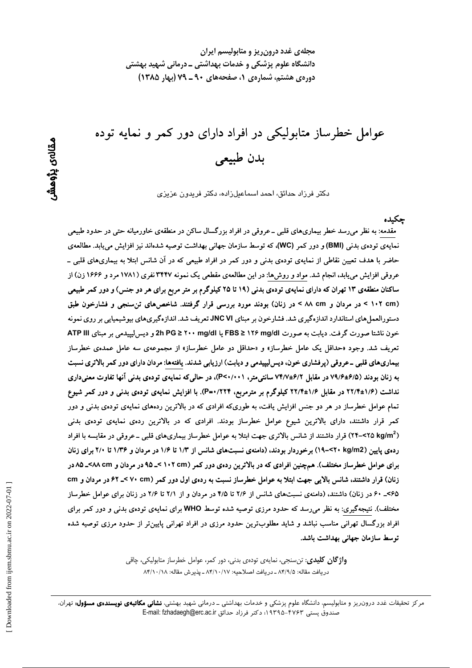مجلهی غدد درون ریز و متابولیسم ایران دانشگاه علوم پزشکی و خدمات بهداشتی ــ درمانی شهید بهشتی دوره ی هشتم، شماره ی ۱، صفحههای ۹۰ ـ ۷۹ (بهار ۱۳۸۵)

عوامل خطرساز متابولیکی در افراد دارای دور کمر و نمایه توده بدن طبيعي

دکتر فرزاد حدائق، احمد اسماعیلزاده، دکتر فریدون عزیزی

حكىدە

مقدمه: به نظر می٫رسد خطر بیماریهای قلبی ــ عروقی در افراد بزرگسال ساکن در منطقهی خاورمیانه حتی در حدود طبیعی نمایهی تودهی بدنی (BMI) و دور کمر (WC)، که توسط سازمان جهانی بهداشت توصیه شدهاند نیز افزایش مییابد. مطالعهی حاضر با هدف تعیین نقاطی از نمایهی تودهی بدنی و دور کمر در افراد طبیعی که در آن شانس ابتلا به بیماریهای قلبی ــ عروقی افزایش می یابد، انجام شد. مواد و روشها: در این مطالعهی مقطعی یک نمونه ۳۴۴۷ نفری (۱۷۸۱ مرد و ۱۶۶۶ زن) از ساکنان منطقهی ۱۳ تهران که دارای نمایهی تودهی بدنی (۱۹ تا ۲۵ کیلوگرم بر متر مربع برای هر دو جنس) و دور کمر طبیعی (۱۰۲ cm > در مردان و ۸۸ cm > در زنان) بودند مورد بررسی قرار گرفتند. شاخصهای تن سنجی و فشارخون طبق دستورالعمل های استاندارد اندازهگیری شد. فشارخون بر مبنای JNC VI تعریف شد. اندازهگیریهای بیوشیمیایی بر روی نمونه خون ناشتا صورت گرفت. دیابت به صورت M۶ mg/dl و FBS ≥ ۱۲۶ mg/dl یا PG ≥ ۲۰۰ mg/dl و دیس(یپیدمی بر مبنای ATP III تعریف شد. وجود «حداقل یک عامل خطرساز» و «حداقل دو عامل خطرساز» از مجموعهی سه عامل عمدهی خطرساز بیماریهای قلبی ـ عروقی (پرفشاری خون، دیس لیپیدمی و دیابت) ارزیابی شدند. یافتهها: مردان دارای دور کمر بالاتری نسبت به زنان بودند (۶/۵±۷۹/۶ در مقابل ۶/۲±۷۴/۷ سانتی متر، P<۰/۰۰۱)، در حالی که نمایهی تودهی بدنی آنها تفاوت معنی داری نداشت (۱/۶±۱۲/۴ در مقابل ۱/۶±۲۲/۴ کیلوگرم بر مترمربع، ۲۲۴/۰=P). با افزایش نمایهی تودهی بدنی و دور کمر شیوع تمام عوامل خطرساز در هر دو جنس افزایش یافت، به طوریکه افرادی که در بالاترین ردههای نمایهی تودهی بدنی و دور کمر قرار داشتند، دارای بالاترین شیوع عوامل خطرساز بودند. افرادی که در بالاترین ردهی نمایهی تودهی بدنی (۲۵ ۲۵>–۲۴) قرار داشتند از شانس بالاتری جهت ابتلا به عوامل خطرساز بیماریهای قلبی ــ عروقی در مقایسه با افراد رده ی پایین (۲۰ kg/m2) برخوردار بودند، (دامنهی نسبتهای شانس از ۱/۳ تا ۱/۶ در مردان و ۱/۳۶ تا ۲/۰ برای زنان برای عوامل خطرساز مختلف). همچنین افرادی که در بالاترین ردهی دور کمر (۱۰۲ ×۱۰ >\_۹۵ در مردان و ۸۵ ×۸۸-۸۵ در زنان) قرار داشتند، شانس بالایی جهت ابتلا به عوامل خطرساز نسبت به ردهی اول دور کمر (۷۰ cm کـ ۶۲ در مردان و cm ۶۵>\_ ۶۰ در زنان) داشتند، (دامنهی نسبتهای شانس از ۲/۶ تا ۴/۵ در مردان و از ۲/۱ تا ۲/۶ در زنان برای عوامل خطرساز مختلف). نتیجهگیری: به نظر می رسد که حدود مرزی توصیه شده توسط WHO برای نمایهی تودهی بدنی و دور کمر برای افراد بزرگسال تهرانی مناسب نباشد و شاید مطلوبترین حدود مرزی در افراد تهرانی پایینiتر از حدود مرزی توصیه شده توسط سازمان جهانی بهداشت باشد.

> **واژ گان کلیدی**: تن سنجی، نمایەی تودەی بدنی، دور کمر، عوامل خطرساز متابولیکی، چاقی دريافت مقاله: ٨٣/٩/٥ ـ دريافت اصلاحيه: ٨٣/١٠/١٧ ـ يذيرش مقاله: ٨٣/١٠/١٨

مرکز تحقیقات غدد درون ریز و متابولیسم، دانشگاه علوم پزشکی و خدمات بهداشتی ـ درمانی شهید بهشتی، **نشانی مکاتبهی نویسندهی مسؤول:** تهران، صندوق يستى ۴۷۶۳–۱۹۳۹۵؛ دكتر فرزاد حدائق E-mail: fzhadaegh@erc.ac.ir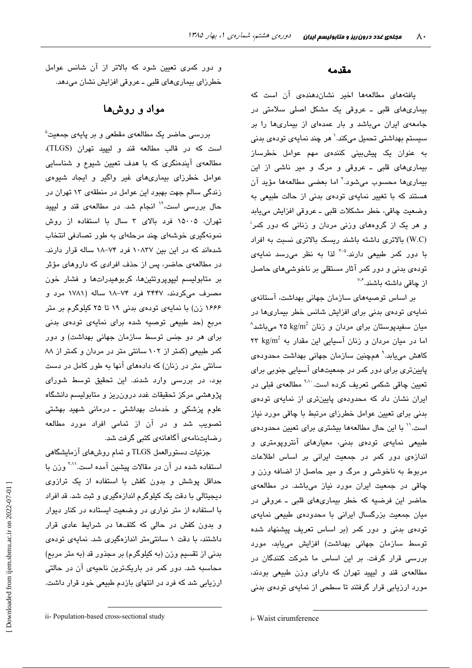#### مقدمه

یافتههای مطالعهها اخیر نشاندهندهی آن است که بیماریهای قلبی ـ عروقی یک مشکل اصلی سلامتی در جامعهی ایران میباشد و بار عمدهای از بیماریها را بر سیستم بهداشتی تحمیل میکند.<sup>\</sup> هر چند نمایهی تودهی بدنی به عنوان یک پیشبینی کنندهی مهم عوامل خطرساز بیماریهای قلبی ـ عروقی و مرگ و میر ناشی از این بیماریها محسوب میشود.<sup>۲</sup> اما بعضی مطالعهها مؤید آن هستند که با تغییر نمایهی تودهی بدنی از حالت طبیعی به وضعيت چاقي، خطر مشكلات قلبي ــ عروقي افزايش مييابد و هر یک از گروههای وزنی مردان و زنانی که دور کمر<sup>:</sup> (W.C) بالاتری داشته باشند ریسک بالاتری نسبت به افراد با دور کمر طبیعی دارند.<sup>۵-۳</sup> لذا به نظر میرسد نمایهی توده ی بدنی و دور کمر آثار مستقلی بر ناخوشی های حاصل از چاقی داشته پاشند.<sup>۷٫۶</sup>

بر اساس توصیههای سازمان جهانی بهداشت، آستانهی نمایهی تودهی بدنی برای افزایش شانس خطر بیماریها در  $^{\wedge}$ میان سفیدیوستان برای مردان و زنان kg/m $^2$  ۲۵ kg/m $^2$  میباشد اما در میان مردان و زنان آسیایی این مقدار به ۲۳ kg/m<sup>2</sup> کاهش میپابد.<sup>۹</sup> همچنین سازمان جهانی بهداشت محدودهی پایینتری برای دور کمر در جمعیتهای آسیایی جنوبی برای تعیین چاقی شکمی تعریف کرده است<sup>۷۰۱</sup>۰ مطالعهی قبلی در ایران نشان داد که محدودهی پایینتری از نمایهی تودهی بدنی برای تعیین عوامل خطرزای مرتبط با چاقی مورد نیاز است.'' با این حال مطالعهها بیشتری برای تعیین محدودهی طبیعی نمایهی تودهی بدنی، معیارهای آنتروپومتری و اندازهی دور کمر در جمعیت ایرانی بر اساس اطلاعات مربوط به ناخوشی و مرگ و میر حاصل از اضافه وزن و چاقی در جمعیت ایران مورد نیاز میباشد. در مطالعهی حاضر این فرضیه که خطر بیماریهای قلبی ـ عروقی در میان جمعیت بزرگسال ایرانی با محدودهی طبیعی نمایهی تودهی بدنی و دور کمر (بر اساس تعریف پیشنهاد شده توسط سازمان جهانی بهداشت) افزایش میبابد، مورد بررسی قرار گرفت. بر این اساس ما شرکت کنندگان در مطالعهی قند و لیپید تهران که دارای وزن طبیعی بودند، مورد ارزیابی قرار گرفتند تا سطحی از نمایهی تودهی بدنی

و دور کمری تعیین شود که بالاتر از آن شانس عوامل خطرزای بیماریهای قلبی ـ عروقی افزایش نشان میدهد.

## مواد و روشها

بررسی حاضر یک مطالعهی مقطعی و بر پایهی جمعیت" است كه در قالب مطالعه قند و ليپيد تهران (TLGS)، مطالعهی آیندهنگری که با هدف تعیین شیوع و شناسایی عوامل خطرزای بیماریهای غیر واگیر و ایجاد شیوهی زندگی سالم جهت بهبود این عوامل در منطقهی ۱۳ تهران در حال بررسی است،<sup>۱۲</sup> انجام شد. در مطالعهی قند و لیپید تهران، ۱۵۰۰۵ فرد بالای ۳ سال با استفاده از روش نمونهگیری خوشهای چند مرحلهای به طور تصادفی انتخاب شدهاند که در این بین ۱۰۸۳۷ فرد ۷۴–۱۸ ساله قرار دارند. در مطالعهی حاضر، پس از حذف افرادی که داروهای مؤثر بر متابولیسم لیپویروتئینها، کربوهیدراتها و فشار خون مصرف میکردند، ۳۴۴۷ فرد ۷۴–۱۸ ساله (۱۷۸۱ مرد و ۱۶۶۶ زن) با نمایهی تودهی بدنی ۱۹ تا ۲۵ کیلوگرم بر متر مربع (حد طبیعی توصیه شده برای نمایهی تودهی بدنی برای هر دو جنس توسط سازمان جهانی بهداشت) و دور کمر طبیعی (کمتر از ۱۰۲ سانتی متر در مردان و کمتر از ۸۸ سانتی متر در زنان) که دادههای آنها به طور کامل در دست بود، در بررسی وارد شدند. این تحقیق توسط شورای پژوهشی مرکز تحقیقات غدد درونرریز و متابولیسم دانشگاه علوم پزشکی و خدمات بهداشتی ـ درمانی شهید بهشتی تصویب شد و در آن از تمامی افراد مورد مطالعه رضایتنامەی آگاھانەی كتبی گرفت شد.

جزئيات دستورالعمل TLGS و تمام روشهاي آزمايشگاهي استفاده شده در آن در مقالات پیشین آمده است.<sup>۲۰۱</sup> وزن با حداقل پوشش و بدون کفش با استفاده از یک ترازوی دیجیتالی با دقت یک کیلوگرم اندازهگیری و ثبت شد. قد افراد با استفاده از متر نواری در وضعیت ایستاده در کنار دیوار و بدون کفش در حالی که کتفها در شرایط عادی قرار داشتند، با دقت ۱ سانتی متر اندازهگیری شد. نمایهی تودهی بدنی از تقسیم وزن (به کیلوگرم) بر مجذور قد (به متر مربع) محاسبه شد. دور کمر در باریکترین ناحیهی آن در حالتی ارزیابی شد که فرد در انتهای بازدم طبیعی خود قرار داشت.

i-Waist cirumference

ii- Population-based cross-sectional study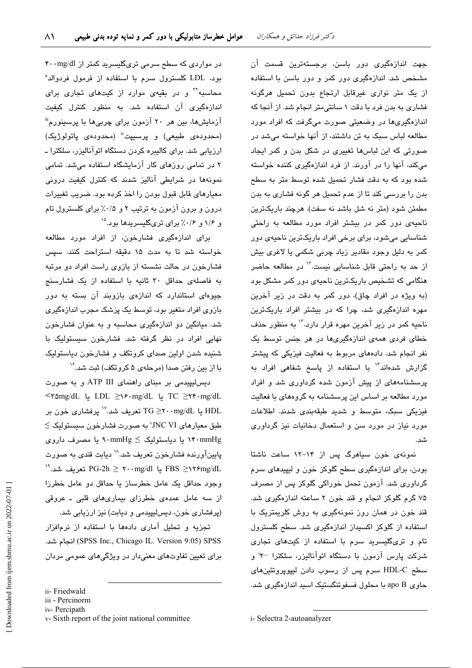جهت اندازهگیری دور باسن، برجستهترین قسمت آن مشخص شد. اندازهگیری دور کمر و دور باسن با استفاده از یک متر نواری غیرقابل ارتجاع بدون تحمیل هرگونه فشاری به بدن فرد با دقت ۱ سانتی متر انجام شد. از آنجا که اندازهگیریها در وضعیتی صورت میگرفت که افراد مورد مطالعه لباس سبک به تن داشتند، از آنها خواسته می شد در صورتی که این لباسها تغییری در شکل بدن و کمر ایجاد میکند، آنها را در آورند. از فرد اندازهگیری کننده خواسته شده بود که به دقت فشار تحمیل شده توسط متر به سطح بدن را بررسی کند تا از عدم تحمیل هر گونه فشاری به بدن مطمئن شود (متر نه شل باشد نه سفت). هرچند باریکترین ناحیهی دور کمر در بیشتر افراد مورد مطالعه به راحتی شناسایی میشود، برای برخی افراد باریکترین ناحیهی دور کمر به دلیل وجود مقادیر زیاد چربی شکمی یا لاغری بیش از حد به راحتی قابل شناسایی نست.<sup>۱۲</sup> در مطالعه حاضر هنگامی که تشخیص باریکترین ناحیهی دور کمر مشکل بود (به ویژه در افراد چاق)، دور کمر به دقت در زیر آخرین مهره اندازهگیری شد، چرا که در بیشتر افراد باریکترین ناحیه کمر در زیر آخرین مهره قرار دارد.<sup>۱۲</sup> به منظور حذف خطای فردی همهی اندازهگیریها در هر جنس توسط یک نفر انجام شد. دادههای مربوط به فعالیت فیزیکی که پیشتر گزارش شدهاند<sup>۱۴</sup> با استفاده از پاسخ شفاهی افراد به پرسشنامههای از پیش آزمون شده گرداوری شد و افراد مورد مطالعه بر اساس این پرسشنامه به گروههای با فعالیت فیزیکی سبک، متوسط و شدید طبقهبندی شدند. اطلاعات مورد نیاز در مورد سن و استعمال دخانیات نیز گرداوری شد.

نمونهی خون سیاهرگ پس از ۱۴-۱۲ ساعت ناشتا بودن، برای اندازهگیری سطح گلوکز خون و لیپیدهای سرم گرداوری شد. آزمون تحمل خوراکی گلوکز پس از مصرف ۷۵ گرم گلوکز انجام و قند خون ۲ ساعته اندازهگیری شد. قند خون در همان روز نمونهگیری به روش کلریمتریک با استفاده از گلوکز اکسیداز اندازهگیری شد. سطح کلسترول تام و تریگلیسرید سرم با استفاده از کیتهای تجاری شرکت پارس آزمون با دستگاه اتوآنالیزر، سلکترا <sup>–۲</sup>۲ و سطح HDL-C سرم پس از رسوب دادن لیپویروتئینهای حاوي apo B با محلول فسفوتنگستيک اسيد اندازهگيري شد.

در مواردی که سطح سرمی تریگلیسرید کمتر از ۴۰۰mg/dl بود، LDL کلسترول سرم با استفاده از فرمول فردوالد" محاسبه<sup>۳</sup>۰ و در بقیهی موارد از کیتهای تجاری برای اندازهگیری آن استفاده شد. به منظور کنترل کیفیت آزمایشها، بین هر ۲۰ آزمون برای چربیها با پرسینورم" (محدوده عطبیعی) و پرسیپت" (محدوده ی یاتولوژیک) ارزیابی شد. برای کالیبره کردن دستگاه اتوآنالیزر، سلکترا ـ ۲ در تمامی روزهای کار آزمایشگاه استفاده میشد. تمامی نمونهها در شرایطی آنالیز شدند که کنترل کیفیت درونی معیارهای قابل قبول بودن را اخذ کرده بود. ضریب تغییرات درون و برون آزمون به ترتیب ۲ و ۰/۵٪ برای کلسترول تام و ۱/۶ و ۰/۶٪ برای تریگلیسریدها بود.<sup>۱۵</sup>

برای اندازهگیری فشارخون، از افراد مورد مطالعه خواسته شد تا به مدت ١۵ دقیقه استراحت کنند. سپس فشارخون در حالت نشسته از بازوی راست افراد دو مرتبه به فاصلهی حداقل ۳۰ ثانیه با استفاده از یک فشارسنج جیوهای استاندارد که اندازهی بازوبند آن بسته به دور بازوی افراد متغیر بود، توسط یک پزشک مجرب اندازهگیری شد. میانگین دو اندازهگیری محاسبه و به عنوان فشارخون نهایی افراد در نظر گرفته شد. فشارخون سیستولیک با شنده شدن اولین صدای کروتکف و فشارخون دیاستولیک با از بین رفتن صدا (مرحلهی ۵ کروتکف) ثبت شد. $^\vee$ 

دیس لیپیدمی بر مبنای راهنمای ATP III و به صورت TC ≥۲۴۰mg/dL ل LDL ≥۱۶۰mg/dL ل TC ≥۲۴۰mg/dL یا TG  $\geq$ ۲۰۰mg/dL یا TG تعریف شد. " پرفشاری خون بر  $\le$  طبق معیارهای VNC VI به صورت فشارخون سیستولیک ۱۴۰mmHg یا دیاستولیک کے ۹۰mmHg یا مصرف داروی پایینآورنده فشارخون تعریف شد.^` دیابت قندی به صورت FBS ≥۱۲۶mg/dL یا PG-2h ≥ ۲۰۰mg/dl تعریف شد.<sup>۱۹</sup> وجود حداقل یک عامل خطرساز یا حداقل دو عامل خطرزا از سه عامل عمدهی خطرزای بیماریهای قلبی ـ عروقی (پرفشاری خون، دیسلیپیدمی و دیابت) نیز ارزیابی شد.

تجزیه و تحلیل آماری دادهها با استفاده از نرمافزار (SPSS Inc., Chicago IL. Version 9.05) SPSS انجام شد. برای تعیین تفاوتهای معنیدار در ویژگیهای عمومی مردان

ii- Friedwald

iii - Percinorm

iv-Percipath

v-Sixth report of the joint national committee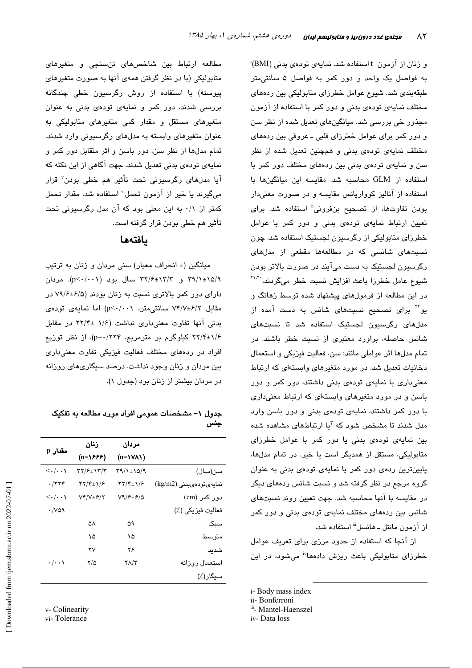و زنان از آزمون t استفاده شد. نمایهی تودهی بدنی (BMI)َ به فواصل یک واحد و دور کمر به فواصل ۵ سانتی متر طبقهبندی شد. شیوع عوامل خطرزای متابولیکی بین ردههای مختلف نمایهی تودهی بدنی و دور کمر با استفاده از آزمون مجذور خی بررسی شد. میانگینهای تعدیل شده از نظر سن و دور کمر برای عوامل خطرزای قلبی ـ عروقی بین ردههای مختلف نمایهی تودهی بدنی و همچنین تعدیل شده از نظر سن و نمایهی تودهی بدنی بین ردههای مختلف دور کمر با استفاده از GLM محاسبه شد. مقايسه اين ميانگينها با استفاده از آنالیز کوواریانس مقایسه و در صورت معنیدار بودن تفاوتها، از تصحیح بنفرونی<sup>ة</sup> استفاده شد. برای تعیین ارتباط نمایهی تودهی بدنی و دور کمر با عوامل خطرزای متابولیکی از رگرسیون لجستیک استفاده شد. چون نسبتهای شانسی که در مطالعهها مقطعی از مدلهای رگرسبون لجستیک به دست میآیند در صورت بالاتر بودن شیوع عامل خطرزا باعث افزایش نسبت خطر میگردند، \*``` در این مطالعه از فرمولهای پیشنهاد شده توسط زهانگ و بو<sup>۲۲</sup> برای تصحیح نسبتهای شانس به دست آمده از مدلهای رگرسیون لجستیک استفاده شد تا نسبتهای شانس حاصله، براورد معتبری از نسبت خطر باشند. در تمام مدلها اثر عواملي مانند: سن، فعالیت فیزیکی و استعمال دخانیات تعدیل شد. در مورد متغیرهای وابستهای که ارتباط معنیداری با نمایهی تودهی بدنی داشتند، دور کمر و دور باسن و در مورد متغیرهای وابستهای که ارتباط معنیداری با دور کمر داشتند، نمایهی تودهی بدنی و دور باسن وارد مدل شدند تا مشخص شود که آیا ارتباطهای مشاهده شده بین نمایهی تودهی بدنی یا دور کمر با عوامل خطرزای متابولیکی، مستقل از همدیگر است یا خیر. در تمام مدلها، پایینترین ردهی دور کمر یا نمایهی تودهی بدنی به عنوان گروه مرجع در نظر گرفته شد و نسبت شانس ردههای دیگر در مقایسه با آنها محاسبه شد. جهت تعیین روند نسبتهای شانس بین ردههای مختلف نمایهی تودهی بدنی و دور کمر از آزمون مانتل ـ هانسل<sup>ااا</sup> استفاده شد.

از آنجا که استفاده از حدود مرزی برای تعریف عوامل خطرزای متابولیکی باعث ریزش دادهها<sup>lv</sup> میشود، در این

- i-Body mass index
- ii- Bonferroni
- iii- Mantel-Haenszel
- iv-Data loss

مطالعه ارتباط بین شاخصهای تنسنجی و متغیرهای متابولیکی (با در نظر گرفتن همهی آنها به صورت متغیرهای پیوسته) با استفاده از روش رگرسیون خطی چن*د*گانه بررسی شدند. دور کمر و نمایهی تودهی بدنی به عنوان متغیرهای مستقل و مقدار کمی متغیرهای متابولیکی به عنوان متغیرهای وابسته به مدلهای رگرسیونی وارد شدند. تمام مدلها از نظر سن، دور باسن و اثر متقابل دور کمر و نمایهی تودهی بدنی تعدیل شدند. جهت آگاهی از این نکته که آيا مدلهای رگرسيونی تحت تأثير هم خطی بودن<sup>٬</sup> قرار میگیرند یا خیر از آزمون تحمل<sup>ن</sup> استفاده شد. مقدار تحمل کمتر از ۰/۱ به این معنی بود که آن مدل رگرسیونی تحت تأثیر هم خطی بودن قرار گرفته است.

### بافتهها

میانگین (± انحراف معیار) سنی مردان و زنان به ترتیب ۳۹/۱±۱۵/۹ و ۳۲/۶±۱۳/۳ سال بود (p<۰/۰۰۱). مردان دارای دور کمر بالاتری نسبت به زنان بودند (۶/۵±۷۹/۶ در مقابل ۷۴/۷±۶/۲ سانتی متر، p<۰/۰۰۱) اما نمایهی تودهی بدنی آنها تفاوت معنیداری نداشت (۱/۶ ±۲۲/۴ در مقابل ۲۲/۴±۱/۶ کیلوگرم بر مترمربع، p=۰/۲۲۴). از نظر توزیع افراد در ردههای مختلف فعالیت فیزیکی تفاوت معنیداری بین مردان و زنان وجود نداشت. درصد سیگاریهای روزانه در مردان بیشتر از زنان بود (جدول ۱).

#### جدول ۱– مشخصات عمومی افراد مورد مطالعه به تفکیک جنس

| مقدار p                               | زنان                                                  | مردان                                           |                         |
|---------------------------------------|-------------------------------------------------------|-------------------------------------------------|-------------------------|
|                                       | (n=\۶۶۶)                                              | $(n=1$ V $\wedge$ 1)                            |                         |
| $\left\langle \ldots \right\rangle$   | 37/۶±۱۳/۳                                             | 39/1±15/9                                       | سن(سال)                 |
| ۰/۲۲۴                                 | $\Upsilon\Upsilon/\Upsilon_{\pm}\Upsilon/\mathcal{F}$ | $\Upsilon \Upsilon / \Upsilon \pm \Upsilon / 5$ | نمايەيتودەىبدنى (kg/m2) |
| $\langle \cdot   \cdot \cdot \rangle$ | $Vf/V \pm f/\tau$                                     | V9/FE/2                                         | دور کمر (cm)            |
| $\cdot$ /vaq                          |                                                       |                                                 | فعاليت فيزيكي (٪)       |
|                                       | ۵٨                                                    | ۵۹                                              | سبک                     |
|                                       | ۱۵                                                    | ۱۵                                              | متو سط                  |
|                                       | ۲ν                                                    | ۲۶                                              | شديد                    |
| $\cdot/\cdot\cdot$                    | ۲/۵                                                   | ۲۸/۳                                            | استعمال روزانه          |
|                                       |                                                       |                                                 | سیگار(٪)                |

v- Colinearity

vi-Tolerance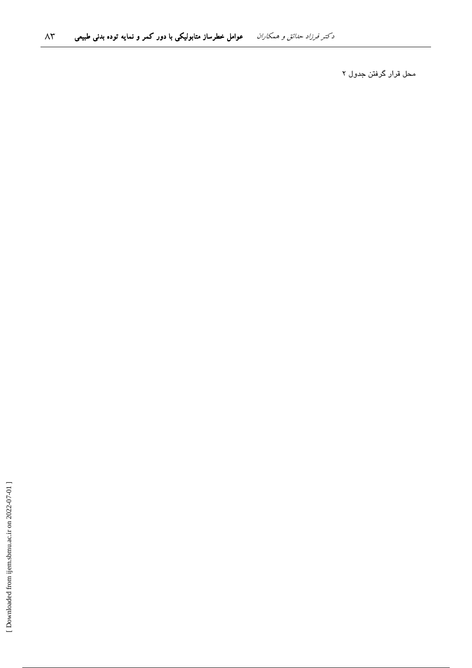محل قرار گرفتن جدول ۲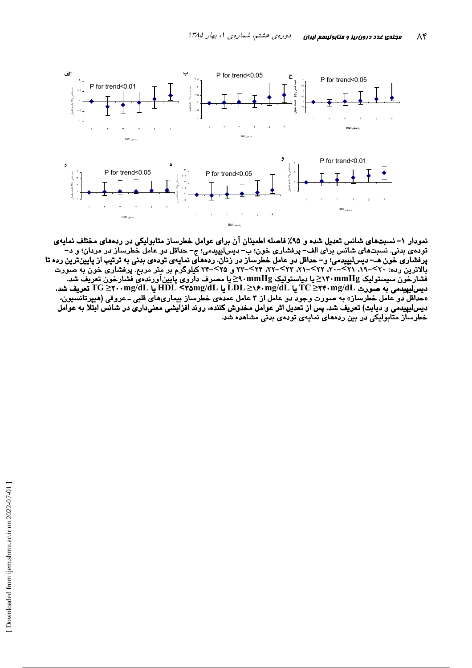

نمودار ۱– نسبتهای شانس تعدیل شده و ۹۵٪ فاصله اطمینان آن برای عوامل خطرساز متابولیکی در ردههای مختلف نمایهی تودهي بدني. نسبتهاي شانس براي الف– پرفشاري خون؛ ب– ديسليپيدمي؛ ج– حداقل دو عامل خطرساز در مردان؛ و د– .<br>پرفشاری خون هـــ دیسالیپیدمی؛ و– حداقل دو عامل خطرساز در زنان. ردههای نمایهی تودهی بدنی به ترتیب از پایین ترین رده تا<br>بالاترین رده: ۲۰>–۱۹، ۲۱>–۲۰، ۲۲>–۲۰، ۲۳>–۲۲، ۲۴>–۲۳ و ۲۵>–۲۴ کیلوگرم بر متر مربع. پرفشاری خون به صور با سور سر بربان پوستولیک Minig در ایستولیک mmHgکا دیاستولیک A۰mmHgکا مصدف داروی پایین آورندهی فشارخون تعریف شد<br>فشارخون سیستولیک TC ≥۲۴۰mg/dL یا LDL ≥۱۶۰mg/dL یا HDL <۲۵mg/dL یا HDL <۲۵mg/dL یا Comg/dL یا HDL <۲۵mg/dL یا دیس لیپیدمی و دیابت) تعریف شد. پس از تعدیل اثر عوامل مخدوش کننده، روند افزایشی معنیداری در شانس ابتلا به عوامل خطرساز متابولیکی در بین ردههای نمایهی تودهی بدنی مشاهده شد.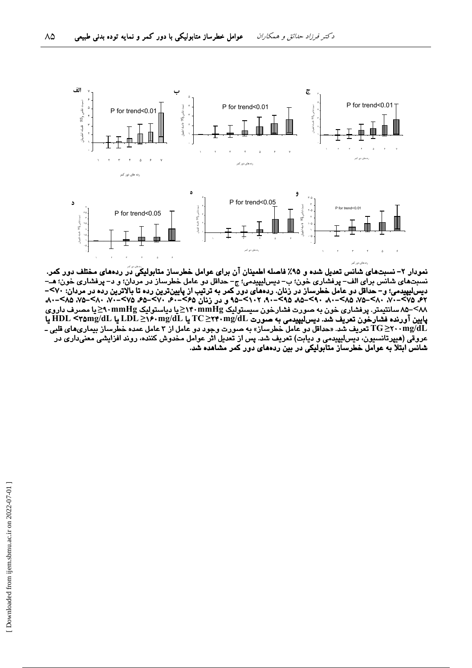

نمودار ۲– نسبتهای شانس تعدیل شده و ۹۵٪ فاصله اطمینان آن برای عوامل خطرساز متابولیکی دَر ردههای مختلف دور کمر. نسبتهای شانس برای الف– پرفشاری خون؛ ب– دیسلیپیدمی؛ ج– حداقل دو عامل خطرساز در مردان؛ و د– پرفشاری خون؛ هــّ– دیس لیپیدمی؛ و – حداقل دو عامل خطرساز در زنان. ردههای دور کمر به ترتیب از پایین ترین رده تا بالاترین رده در مردان: ۷۰>–<br>۶۲، ۲۵–۷۰، ۸۰–۷۵، ۸۵–۸۰، ۹۸–۸۵، ۵۸–۸۵، ۵۸–۹۰، ۶۱۲–۹۵، و در زنان ۶۵–۶۰، ۷۰–۶۵، ۶۵–۷۰، ۲۰–۸۰، ۲۸–۷۵، ۲۵ ۸۸>–۸۵ سانتیمتر. پرفشاری خون به صورت فشارخون سیستولیک M۰mmHg≤یا دیاستولیک M۰mmHg≤یا مصرف داروی پایین آورنده فشارخون تعریف شد. دیس لیپیدمی به صورت TC >۲۴۰mg/dL یا HDL <۳۵mg/dL یا HDL <۳۵mg/dL یا HDL +۲۵mg/dL تعریف شد. «حداقل دو عامل خطرساز» به صورت وجود دو عامل از ۳ عامل عمده خطرساز بیماریهای قلبی ـ T $\rm G$ خرب تابی ـ ـ T $\rm G$ عروقی (هیپرتانسیون، دیسلیپیدمی و دیابت) تعریف شد. پس از تعدیل اثر عوامل مخدوش کننده، روند افزایشی معنیداری در شانس ابتلا به عوامل خطرساز متابولیکی در بین ردههای دور کمر مشاهده شد.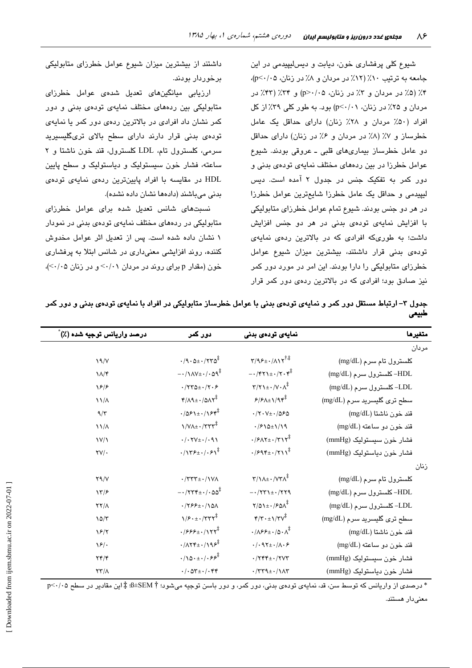شیوع کلی پرفشاری خون، دیابت و دیسلیپیدمی در این جامعه به ترتیب ١٠٪ (١٢٪ در مردان و ٨٪ در زنان، p<٠/٠٥)، ۴٪ (۵٪ در مردان و ۳٪ در زنان، ۵٪/۰/ p>۰) و ۳۴٪ (۴۳٪ در مردان و ۲۵٪ در زنان، p<۰/۰۱) بود. به طور کلی ۳۹٪ از کل افراد (۵۰٪ مردان و ۲۸٪ زنان) دارای حداقل یک عامل خطرساز و ٧٪ (٨٪ در مردان و ۶٪ در زنان) دارای حداقل دو عامل خطرساز بیماریهای قلبی ـ عروقی بودند. شیوع عوامل خطرزا در بین ردههای مختلف نمایهی تودهی بدنی و دور کمر به تفکیک جنس در جدول ۲ آمده است. دیس لیپیدمی و حداقل یک عامل خطرزا شایعترین عوامل خطرزا در هر دو جنس بودند. شیوع تمام عوامل خطرزای متابولیکی با افزایش نمایهی تودهی بدنی در هر دو جنس افزایش داشت؛ به طوریکه افرادی که در بالاترین ردهی نمایهی تودهی بدنی قرار داشتند، بیشترین میزان شیوع عوامل خطرزای متابولیکی را دارا بودند. این امر در مورد دور کمر نیز صادق بود؛ افرادی که در بالاترین ردهی دور کمر قرار

داشتند از بیشترین میزان شیوع عوامل خطرزای متابولیکی برخوردار بودند.

ارزیابی میانگینهای تعدیل شدهی عوامل خطرزای متابولیکی بین ردههای مختلف نمایهی تودهی بدنی و دور کمر نشان داد افرادی در بالاترین ردهی دور کمر یا نمایهی تودەی بدنی قرار دارند دارای سطح بالای تریگلیسیرید سرمی، کلسترول تام، LDL کلسترول، قند خون ناشتا و ۲ ساعته، فشار خون سیستولیک و دیاستولیک و سطح پایین HDL در مقایسه با افراد پایینترین ردهی نمایهی تودهی بدنی میباشند (دادهها نشان داده نشده).

نسبتهای شانس تعدیل شده برای عوامل خطرزای متابولیکی در ردههای مختلف نمایهی تودهی بدنی در نمودار ١ نشان داده شده است. پس از تعدیل اثر عوامل مخدوش کننده، روند افزایشی معنیداری در شانس ابتلا به پرفشاری خون (مقدار p برای روند در مردان ۰/۰۱> و در زنان ۰/۰۵)،

| درصد واريانس توجيه شده (٪) | دور کمر                                                       | نمایەی تودەی بدنی                                                         | متغيرها                     |
|----------------------------|---------------------------------------------------------------|---------------------------------------------------------------------------|-----------------------------|
|                            |                                                               |                                                                           | مردان                       |
| 19/V                       | $\cdot$ /9 $\cdot$ $\Delta \pm \cdot$ /۲۳ $\Delta^{\ddagger}$ | $\Upsilon/9$ ۶±۰/ $\Lambda$ ۱۲ <sup>†‡</sup>                              | كلسترول تام سرم (mg/dL)     |
| $\lambda/\gamma$           | $-\cdot/\lambda V \pm \cdot/\cdot \Delta Q^{\frac{1}{4}}$     | $-\cdot$ /۴۲۱ $\pm \cdot$ /۲۰۴ $\ddagger$                                 | HDL- کلسترول سرم (mg/dL)    |
| $\frac{8}{4}$              | $\cdot$ /۲۳۵ $\pm$ $\cdot$ /۲۰۶                               | $\Upsilon/\Upsilon$ = $\Upsilon$ $\Upsilon$ + $\Lambda^{\ddagger}$        | LDL- كلسترول سرم (mg/dL)    |
| $\frac{1}{\Lambda}$        | $Y/\Lambda$ 9 $\pm$ $\cdot$ /0 $\Lambda$ $Y^{\ddagger}$       | $P/P(\Lambda_{\pm})/94^{\frac{1}{4}}$                                     | سطح تری گلیسرید سرم (mg/dL) |
| 9/5                        | $\cdot$ /081± $\cdot$ /184 $\ddagger$                         | $\cdot$ /۲۰۷± $\cdot$ /۵۶۵                                                | قند خون ناشتا (mg/dL)       |
| $\frac{1}{4}$              | $\frac{1}{\sqrt{1+\cdot}}$                                    | $1/210 \pm 1/19$                                                          | قند خون دو ساعته (mg/dL)    |
| $\frac{1}{\sqrt{2}}$       | $\cdot$ / $\cdot$ $\forall$ V $\pm$ $\cdot$ / $\cdot$ 9)      | $.79AY_{\pm}.7YY^{\ddagger}$                                              | فشار خون سيستوليک (mmHg)    |
| $\tau v/\cdot$             | $\cdot/\gamma$ ۳۶ $\pm$ $\cdot/\cdot$ ۶ $\gamma^{\ddagger}$   | $\cdot$ / $995\pm\cdot$ / $511\frac{1}{2}$                                | فشار خون دياستوليک (mmHg)   |
|                            |                                                               |                                                                           | زنان                        |
| Y9/Y                       | $\cdot$ /٣٣٣ $\pm$ $\cdot$ /١٧٨                               | $Y/\lambda + \frac{1}{2}VY\lambda^{\frac{1}{4}}$                          | كلسترول تام سرم (mg/dL)     |
| $\frac{1}{\epsilon}$       | $-1755 + 1.00^{\frac{1}{4}}$                                  | $-\cdot/771\pm\cdot/779$                                                  | HDL- کلسترول سرم (mg/dL)    |
| YY/A                       | $\cdot$ /٢۶۶ + $\cdot$ /١۵٨                                   | $Y/\Delta$ 1± $\cdot$ / $2\Delta\Lambda^{\ddagger}$                       | LDL– کلسترول سرم (mg/dL)    |
| $10/\tau$                  | $\sqrt{5 \cdot 1} \cdot \sqrt{777^2}$                         | $\mathbf{Y}/\mathbf{Y}\cdot\pm\mathbf{1}/\mathbf{Y}\mathbf{V}^{\ddagger}$ | سطح ترى گليسريد سرم (mg/dL) |
| $\frac{5}{7}$              | $.7999 \pm .7177^*$                                           | $\cdot/\Lambda$ ۶۶ $\pm$ $\cdot/\Delta$ $\cdot \Lambda^{\ddagger}$        | قند خون ناشتا (mg/dL)       |
| $\sqrt{2}$ .               | $\cdot$ / $\wedge$ ۲۴ $\pm$ $\cdot$ /۱۹۶ $\overline{f}$       | $\cdot/\cdot$ 97± $\cdot/\Lambda\cdot$ ۶                                  | قند خون دو ساعته (mg/dL)    |
| $Yf/\mathcal{F}$           | $\cdot/\sqrt{2\cdot\pm\cdot/\cdot9\cdot^{\ddagger}}$          | $\cdot$ /٢۴۴ $\pm$ $\cdot$ /٢٧٣                                           | فشار خون سيستوليک (mmHg)    |
| $\tau\tau/\Lambda$         | $\cdot/\cdot\varpi_{\pm}\cdot/\cdot$ ۴۴                       | $\cdot$ /٣٣٩ $\pm$ $\cdot$ / 1 $\wedge$ ٣                                 | فشار خون دياستوليک (mmHg)   |

جدول ۳– ارتباط مستقل دور کمر و نمایهی تودهی بدنی با عوامل خطرساز متابولیکی در افراد با نمایهی تودهی بدنی و دور کمر طبيعى

\* درصدی از واریانس که توسط سن، قد، نمایهی تودهی بدنی، دور کمر، و دور باسن توجیه میشود؛ # SEM±& ‡ این مقادیر در سطح ۰/۰۵<r معنی،دار هستند.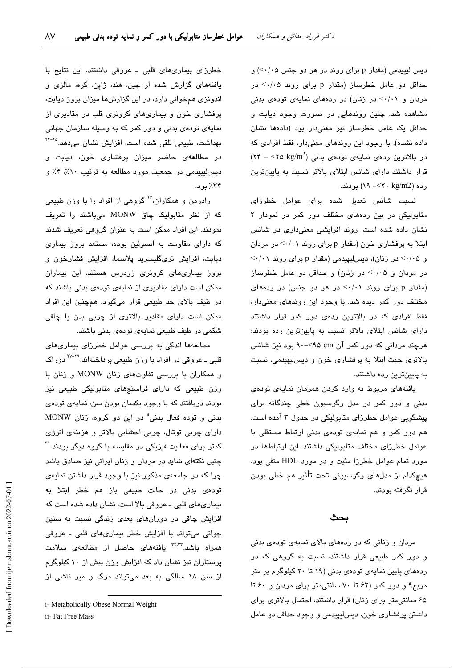دیس لیپیدمی (مقدار p برای روند در هر دو جنس ۰۵/۰/) و حداقل دو عامل خطرساز (مقدار p برای روند ۰/۰۵ در مردان و ۰/۰۱> در زنان) در ردههای نمایهی تودهی بدنی مشاهده شد. چنین روندهایی در صورت وجود دیابت و حداقل یک عامل خطرساز نیز معنیدار بود (دادهها نشان داده نشده). با وجود این روندهای معنیدار، فقط افرادی که  $(5.5 - 10^{-16})$ در بالاترین ردهی نمایهی تودهی بدنی ( $\sim 10^{-2}$  kg/m<sup>2</sup> قرار داشتند دارای شانس ابتلای بالاتر نسبت به پایینترین رده (12×/۲۰×>- ۱۹) بودند.

نسبت شانس تعدیل شده برای عوامل خطرزای متابولیکی در بین ردههای مختلف دور کمر در نمودار ۲ نشان داده شده است. روند افزایشی معنیداری در شانس ابتلا به پرفشاری خون (مقدار p برای روند ۰/۰۱> در مردان و ۰/۰۵> در زنان)، دیس لیپیدمی (مقدار p برای روند ۰/۰۱> در مردان و ٠/٠٥> در زنان) و حداقل دو عامل خطرساز (مقدار p برای روند ۰/۰۱> در هر دو جنس) در ردههای مختلف دور کمر دیده شد. با وجود این روندهای معنیدار، فقط افرادی که در بالاترین ردهی دور کمر قرار داشتند دارای شانس ابتلای بالاتر نسبت به پایینترین رده بودند؛ هرچند مردانی که دور کمر آن cm؟>-٩٠ بود نیز شانس بالاتری جهت ابتلا به پرفشاری خون و دیس لیپیدمی، نسبت به پایینترین رده داشتند.

یافتههای مربوط به وارد کردن همزمان نمایهی تودهی بدنی و دور کمر در مدل رگرسیون خطی چندگانه برای پیشگویی عوامل خطرزای متابولیکی در جدول ۳ آمده است. هم دور کمر و هم نمایهی تودهی بدنی ارتباط مستقلی با عوامل خطرزای مختلف متابولیکی داشتند. این ارتباطها در مورد تمام عوامل خطرزا مثبت و در مورد HDL منفی بود. هیچکدام از مدلهای رگرسیونی تحت تأثیر هم خطی بودن قرار نگرفته بودند.

#### ىحٹ

مردان و زنانی که در ردههای بالای نمایهی تودهی بدنی و دور کمر طبیعی قرار داشتند، نسبت به گروهی که در ردههای پایین نمایهی تودهی بدنی (۱۹ تا ۲۰ کیلوگرم بر متر مربع۹ و دور کمر (۶۲ تا ۷۰ سانتی متر برای مردان و ۶۰ تا ۶۵ سانتی متر برای زنان) قرار داشتند، احتمال بالاتری برای داشتن پرفشاری خون، دیسلیپیدمی و وجود حداقل دو عامل

خطرزای بیماریهای قلبی ـ عروقی داشتند. این نتایج با یافتههای گزارش شده از چین، هند، ژاپن، کره، مالزی و اندونزی همخوانی دارد، در این گزارشها میزان بروز دیابت، پرفشاری خون و بیماریهای کرونری قلب در مقادیری از نمایهی تودهی بدنی و دور کمر که به وسیله سازمان جهانی بهداشت، طبیعی تلقی شده است، افزایش نشان می دهد.<sup>۲۵–۲۲</sup> در مطالعهی حاضر میزان پرفشاری خون، دیابت و ديس ليپيدمي در جمعيت مورد مطالعه به ترتيب ٠١٪، ۴٪ و ۳۴٪ يون.

رادرمن و همکاران، ٔ٬ گروهی از افراد را با وزن طبیعی که از نظر متابولیک چاق MONW میباشند را تعریف نمودند. این افراد ممکن است به عنوان گروهی تعریف شدند که دارای مقاومت به انسولین بوده، مستعد بروز بیماری ديابت، افزايش ترىگليسريد پلاسما، افزايش فشارخون و بروز بیماریهای کرونری زودرس هستند. این بیماران ممکن است دارای مقادیری از نمایهی تودهی بدنی باشند که در طیف بالای حد طبیعی قرار میگیرد. همچنین این افراد ممکن است دارای مقادیر بالاتری از چربی بدن یا چاقی شکمی در طیف طبیعی نمایهی تودهی بدنی باشند.

مطالعهها اندکی به بررسی عوامل خطرزای بیماریهای قلبی ــ عروقی در افراد با وزن طبیعی پرداختهاند.<sup>۲۹-۲۷</sup> دوراک و همکاران با بررسی تفاوتهای زنان MONW و زنان با وزن طبیعی که دارای فراسنجهای متابولیکی طبیعی نیز بودند دریافتند که با وجود یکسان بودن سن، نمایهی تودهی بدنی و توده فعال بدنی" در این دو گروه، زنان MONW دارای چربی توتال، چربی احشایی بالاتر و هزینهی انرژی کمتر برای فعالیت فیزیکی در مقایسه با گروه دیگر بودند.'' چنین نکتهای شاید در مردان و زنان ایرانی نیز صادق باشد چرا که در جامعهی مذکور نیز با وجود قرار داشتن نمایهی تودهی بدنی در حالت طبیعی باز هم خطر ابتلا به بیماریهای قلبی ـ عروقی بالا است. نشان داده شده است که افزایش چاقی در دورانهای بعدی زندگی نسبت به سنین جوانی می تواند با افزایش خطر بیماری های قلبی - عروقی همراه باشد.<sup>۲۲٬۳۲</sup> یافتههای حاصل از مطالعهی سلامت پرستاران نیز نشان داد که افزایش وزن بیش از ۱۰ کیلوگرم از سن ١٨ سالگی به بعد میتواند مرگ و مير ناشی از

i- Metabolically Obese Normal Weight

ii- Fat Free Mass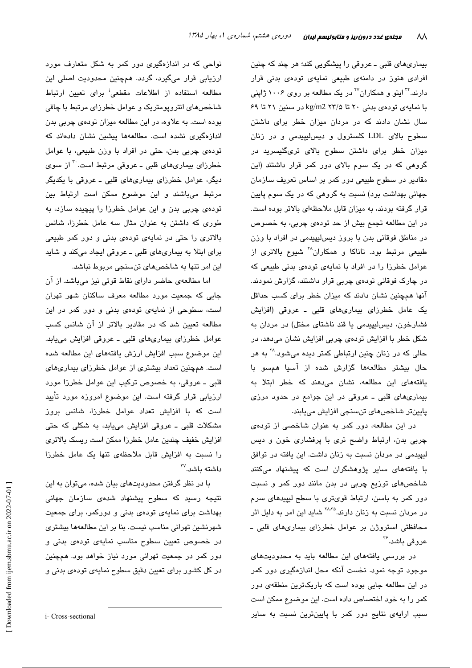بیماریهای قلبی ـ عروقی را پیشگویی کند؛ هر چند که چنین افرادی هنوز در دامنهی طبیعی نمایهی تودهی بدنی قرار دارند.<sup>۲۴</sup> ایتو و همکاران<sup>۲۷</sup> در یک مطالعه بر روی ۱۰۰۶ ژاپنی با نمایهی تودهی بدنی ۲۰ تا kg/m2 ۲۳/۵ در سنین ۲۱ تا ۶۹ سال نشان دادند که در مردان میزان خطر برای داشتن سطوح بالای LDL کلسترول و دیس لیپیدمی و در زنان میزان خطر برای داشتن سطوح بالای تریگلیسرید در گروهی که در یک سوم بالای دور کمر قرار داشتند (این مقادیر در سطوح طبیعی دور کمر بر اساس تعریف سازمان جهانی بهداشت بود) نسبت به گروهی که در یک سوم پایین قرار گرفته بودند، به میزان قابل ملاحظهای بالاتر بوده است. در این مطالعه تجمع بیش از حد تودهی چربی، به خصوص در مناطق فوقانی بدن با بروز دیسلیپیدمی در افراد با وزن طبیعی مرتبط بود. تاناکا و همکاران<sup>۲۸</sup> شیوع بالاتری از عوامل خطرزا را در افراد با نمایهی تودهی بدنی طبیعی که در چارک فوقانی تودهی چربی قرار داشتند، گزارش نمودند. آنها همچنین نشان دادند که میزان خطر برای کسب حداقل یک عامل خطرزای بیماریهای قلبی ـ عروقی (افزایش فشارخون، ديس ليپيدمى يا قند ناشتاى مختل) در مردان به شکل خطر با افزایش تودهی چربی افزایش نشان میدهد، در حالی که در زنان چنین ارتباطی کمتر دیده میشود.<sup>۲۸</sup> به هر حال بیشتر مطالعهها گزارش شده از آسیا همسو با یافتههای این مطالعه، نشان میدهند که خطر ابتلا به بیماریهای قلبی ـ عروقی در این جوامع در حدود مرزی پايينتر شاخصهای تنسنجی افزايش میپابند.

در این مطالعه، دور کمر به عنوان شاخصی از تودهی چربی بدن، ارتباط واضح تری با پرفشاری خون و دیس لیپیدمی در مردان نسبت به زنان داشت. این یافته در توافق با یافتههای سایر پژوهشگران است که پیشنهاد میکنند شاخصهای توزیع چربی در بدن مانند دور کمر و نسبت دور کمر به باسن، ارتباط قویتری با سطح لیپیدهای سرم در مردان نسبت به زنان دارند.<sup>۲۸،۳۵</sup> شاید این امر به دلیل اثر محافظتی استروژن بر عوامل خطرزای بیماریهای قلبی ـ عروقی باشد.<sup>۳۶</sup>

در بررسی یافتههای این مطالعه باید به محدودیتهای موجود توجه نمود. نخست آنکه محل اندازهگیری دور کمر در این مطالعه جایی بوده است که باریکترین منطقهی دور كمر را به خود اختصاص داده است. اين موضوع ممكن است سبب ارایهی نتایج دور کمر با پایینترین نسبت به سایر

نواحی که در اندازهگیری دور کمر به شکل م<mark>تعا</mark>رف مورد ارزیابی قرار میگیرد، گردد. همچنین محدودیت اصلی این مطالعه استفاده از اطلاعات مقطعی<sup>:</sup> برای تعیین ارتباط شاخصهای انتروپومتریک و عوامل خطرزای مرتبط با چاقی بوده است. به علاوه، در این مطالعه میزان تودهی چربی بدن اندازهگیری نشده است. مطالعهها پیشین نشان دادهاند که تودهی چربی بدن، حتی در افراد با وزن طبیعی، با عوامل خطرزای بیماریهای قلبی ـ عروقی مرتبط است. ب از سوی دیگر، عوامل خطرزای بیماریهای قلبی ـ عروقی با یکدیگر مرتبط میباشند و این موضوع ممکن است ارتباط بین تودهی چربی بدن و این عوامل خطرزا را پیچیده سازد، به طوری که داشتن به عنوان مثال سه عامل خطرزا، شانس بالاتری را حتی در نمایهی تودهی بدنی و دور کمر طبیعی برای ابتلا به بیماریهای قلبی ـ عروقی ایجاد میکند و شاید این امر تنها به شاخصهای تنسنجی مربوط نباشد.

اما مطالعهی حاضر دارای نقاط قوتی نیز میباشد. از آن جایی که جمعیت مورد مطالعه معرف ساکنان شهر تهران است، سطوحی از نمایهی تودهی بدنی و دور کمر در این مطالعه تعیین شد که در مقادیر بالاتر از آن شانس کسب عوامل خطرزای بیماریهای قلبی ـ عروقی افزایش مییابد. این موضوع سبب افزایش ارزش یافتههای این مطالعه شده است. همچنین تعداد بیشتری از عوامل خطرزای بیماریهای قلبی ـ عروقی، به خصوص ترکیب این عوامل خطرزا مورد ارزیابی قرار گرفته است. این موضوع امروزه مورد تأیید است که با افزایش تعداد عوامل خطرزا، شانس بروز مشکلات قلبی ـ عروقی افزایش میپابد، به شکلی که حتی افزایش خفیف چندین عامل خطرزا ممکن است ریسک بالاتری را نسبت به افزایش قابل ملاحظهی تنها یک عامل خطرزا  $^{\sf rv}$ داشته ىاشد.

با در نظر گرفتن محدودیتهای بیان شده، میتوان به این نتیجه رسید که سطوح پیشنهاد شدهی سازمان جهانی بهداشت برای نمایهی تودهی بدنی و دورکمر، برای جمعیت شهرنشین تهرانی مناسب نیست. بنا بر این مطالعهها بیشتری در خصوص تعیین سطوح مناسب نمایهی تودهی بدنی و دور کمر در جمعیت تهرانی مورد نیاز خواهد بود. همچنین در کل کشور برای تعیین دقیق سطوح نمایهی تودهی بدنی و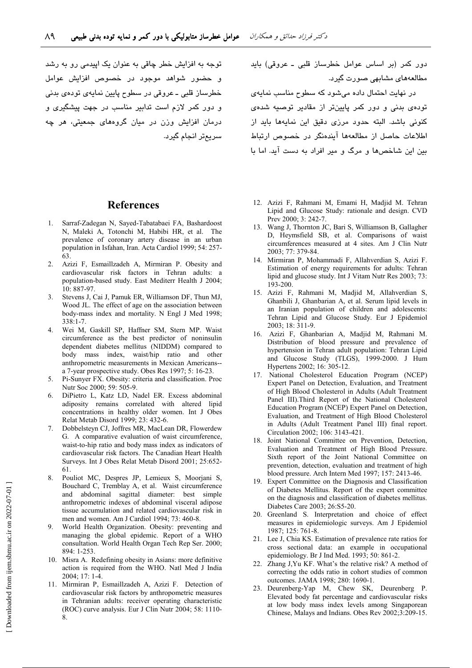توجه به افزایش خطر چاقی به عنوان یک ایبدمی رو به رشد و حضور شواهد موجود در خصوص افزایش عوامل خطرساز قلبی ــ عروقی در سطوح پایین نمایهی تودهی بدنی و دور کمر لازم است تدابیر مناسب در جهت پیشگیری و درمان افزایش وزن در میان گروههای جمعیتی، هر چه سريمتر انجام گيرد. دور کمر (بر اساس عوامل خطرساز قلبی ـ عروقی) باید مطالعههای مشابهی صورت گیرد.

در نهایت احتمال داده می شود که سطوح مناسب نمایهی تودهی بدنی و دور کمر پایینتر از مقادیر توصیه شدهی كنونى باشد. البته حدود مرزى دقيق اين نمايهها بايد از اطلاعات حاصل از مطالعهها آیندهنگر در خصوص ارتباط بین این شاخصها و مرگ و میر افراد به دست آید. اما با

#### **References**

- Sarraf-Zadegan N. Saved-Tabatabaei FA. Bashardoost  $1 -$ N, Maleki A, Totonchi M, Habibi HR, et al. The prevalence of coronary artery disease in an urban population in Isfahan, Iran. Acta Cardiol 1999; 54: 257-63
- $2^{\circ}$ Azizi F, Esmaillzadeh A, Mirmiran P. Obesity and cardiovascular risk factors in Tehran adults: a population-based study. East Mediterr Health J 2004; 10: 887-97.
- Stevens J, Cai J, Pamuk ER, Williamson DF, Thun MJ,  $3<sub>1</sub>$ Wood JL. The effect of age on the association between body-mass index and mortality. N Engl J Med 1998;  $338 \cdot 1 - 7$
- Wei M, Gaskill SP, Haffner SM, Stern MP. Waist  $\overline{4}$ circumference as the best predictor of noninsulin dependent diabetes mellitus (NIDDM) compared to body mass index, waist/hip ratio and other anthropometric measurements in Mexican Americans-a 7-year prospective study. Obes Res 1997; 5: 16-23.
- Pi-Sunver FX. Obesity: criteria and classification. Proc  $\overline{5}$ Nutr Soc 2000; 59: 505-9.
- DiPietro L, Katz LD, Nadel ER. Excess abdominal 6. adiposity remains correlated with altered lipid concentrations in healthy older women. Int J Obes Relat Metab Disord 1999; 23: 432-6.
- Dobbelsteyn CJ, Joffres MR, MacLean DR, Flowerdew  $7<sup>7</sup>$ G. A comparative evaluation of waist circumference, waist-to-hip ratio and body mass index as indicators of cardiovascular risk factors. The Canadian Heart Health Surveys. Int J Obes Relat Metab Disord 2001; 25:652-61
- $\mathbf{R}$ Pouliot MC, Despres JP, Lemieux S, Moorjani S, Bouchard C, Tremblay A, et al. Waist circumference and abdominal sagittal diameter: best simple anthropometric indexes of abdominal visceral adipose tissue accumulation and related cardiovascular risk in men and women. Am J Cardiol 1994; 73: 460-8.
- $\mathbf{Q}$ World Health Organization. Obesity: preventing and managing the global epidemic. Report of a WHO consultation. World Health Organ Tech Rep Ser. 2000; 894: 1-253.
- 10. Misra A. Redefining obesity in Asians: more definitive action is required from the WHO. Natl Med J India  $2004:17:1-4$ .
- 11. Mirmiran P, Esmaillzadeh A, Azizi F. Detection of cardiovascular risk factors by anthropometric measures in Tehranian adults: receiver operating characteristic (ROC) curve analysis. Eur J Clin Nutr 2004; 58: 1110- $\mathbf{R}$
- 12. Azizi F, Rahmani M, Emami H, Madjid M. Tehran Lipid and Glucose Study: rationale and design. CVD Prev 2000; 3: 242-7.
- 13. Wang J, Thornton JC, Bari S, Williamson B, Gallagher D, Heymsfield SB, et al. Comparisons of waist circumferences measured at 4 sites. Am J Clin Nutr 2003: 77: 379-84.
- 14. Mirmiran P, Mohammadi F, Allahverdian S, Azizi F. Estimation of energy requirements for adults: Tehran lipid and glucose study. Int J Vitam Nutr Res 2003; 73: 193-200.
- 15. Azizi F, Rahmani M, Madjid M, Allahverdian S, Ghanbili J. Ghanbarian A, et al. Serum lipid levels in an Iranian population of children and adolescents: Tehran Lipid and Glucose Study. Eur J Epidemiol 2003; 18: 311-9.
- 16. Azizi F, Ghanbarian A, Madjid M, Rahmani M. Distribution of blood pressure and prevalence of hypertension in Tehran adult population: Tehran Lipid and Glucose Study (TLGS), 1999-2000. J Hum Hypertens 2002; 16: 305-12.
- 17. National Cholesterol Education Program (NCEP) Expert Panel on Detection, Evaluation, and Treatment of High Blood Cholesterol in Adults (Adult Treatment Panel III). Third Report of the National Cholesterol Education Program (NCEP) Expert Panel on Detection, Evaluation, and Treatment of High Blood Cholesterol in Adults (Adult Treatment Panel III) final report. Circulation 2002; 106: 3143-421.
- 18. Joint National Committee on Prevention, Detection, Evaluation and Treatment of High Blood Pressure. Sixth report of the Joint National Committee on prevention, detection, evaluation and treatment of high blood pressure. Arch Intern Med 1997; 157: 2413-46.
- 19. Expert Committee on the Diagnosis and Classification of Diabetes Mellitus. Report of the expert committee on the diagnosis and classification of diabetes mellitus. Diabetes Care 2003; 26:S5-20.
- 20. Greenland S. Interpretation and choice of effect measures in epidemiologic surveys. Am J Epidemiol 1987; 125: 761-8.
- 21. Lee J, Chia KS. Estimation of prevalence rate ratios for cross sectional data: an example in occupational epidemiology. Br J Ind Med. 1993; 50: 861-2.
- 22. Zhang J, Yu KF. What's the relative risk? A method of correcting the odds ratio in cohort studies of common outcomes. JAMA 1998; 280: 1690-1.
- 23. Deurenberg-Yap M, Chew SK, Deurenberg P. Elevated body fat percentage and cardiovascular risks at low body mass index levels among Singaporean Chinese, Malays and Indians. Obes Rev 2002;3:209-15.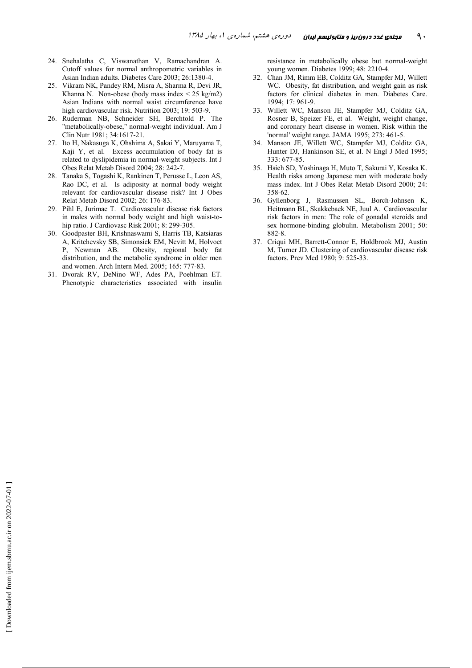- 24. Snehalatha C, Viswanathan V, Ramachandran A. Cutoff values for normal anthropometric variables in Asian Indian adults. Diabetes Care 2003; 26:1380-4.
- 25. Vikram NK, Pandey RM, Misra A, Sharma R, Devi JR, Khanna N. Non-obese (body mass index  $\leq$  25 kg/m2) Asian Indians with normal waist circumference have high cardiovascular risk. Nutrition 2003; 19: 503-9.
- 26. Ruderman NB, Schneider SH, Berchtold P. The "metabolically-obese," normal-weight individual. Am J Clin Nutr 1981; 34:1617-21.
- 27. Ito H, Nakasuga K, Ohshima A, Sakai Y, Maruyama T, Kaji Y, et al. Excess accumulation of body fat is related to dyslipidemia in normal-weight subjects. Int J Obes Relat Metab Disord 2004; 28: 242-7.
- 28. Tanaka S, Togashi K, Rankinen T, Perusse L, Leon AS, Rao DC, et al. Is adiposity at normal body weight relevant for cardiovascular disease risk? Int J Obes Relat Metab Disord 2002; 26: 176-83.
- 29. Pihl E, Jurimae T. Cardiovascular disease risk factors in males with normal body weight and high waist-tohip ratio. J Cardiovasc Risk 2001; 8: 299-305.
- 30. Goodpaster BH, Krishnaswami S, Harris TB, Katsiaras A, Kritchevsky SB, Simonsick EM, Nevitt M, Holvoet P, Newman AB. ty, regional body fat distribution, and the metabolic syndrome in older men and women. Arch Intern Med. 2005; 165: 777-83.
- 31. Dvorak RV, DeNino WF, Ades PA, Poehlman ET. Phenotypic characteristics associated with insulin

resistance in metabolically obese but normal-weight young women. Diabetes 1999; 48: 2210-4.

- 32. Chan JM, Rimm EB, Colditz GA, Stampfer MJ, Willett WC. Obesity, fat distribution, and weight gain as risk factors for clinical diabetes in men. Diabetes Care. 1994; 17: 961-9.
- 33. Willett WC, Manson JE, Stampfer MJ, Colditz GA, Rosner B, Speizer FE, et al. Weight, weight change, and coronary heart disease in women. Risk within the 'normal' weight range. JAMA 1995;  $273:461-5$ .
- 34. Manson JE, Willett WC, Stampfer MJ, Colditz GA, Hunter DJ, Hankinson SE, et al. N Engl J Med 1995; 333: 677-85.
- 35. Hsieh SD, Yoshinaga H, Muto T, Sakurai Y, Kosaka K. Health risks among Japanese men with moderate body mass index. Int J Obes Relat Metab Disord 2000; 24: 358-62
- 36. Gyllenborg J, Rasmussen SL, Borch-Johnsen K, Heitmann BL, Skakkebaek NE, Juul A. Cardiovascular risk factors in men: The role of gonadal steroids and sex hormone-binding globulin. Metabolism 2001; 50: 882-8
- 37. Criqui MH, Barrett-Connor E, Holdbrook MJ, Austin M, Turner JD. Clustering of cardiovascular disease risk factors. Prev Med 1980; 9: 525-33.